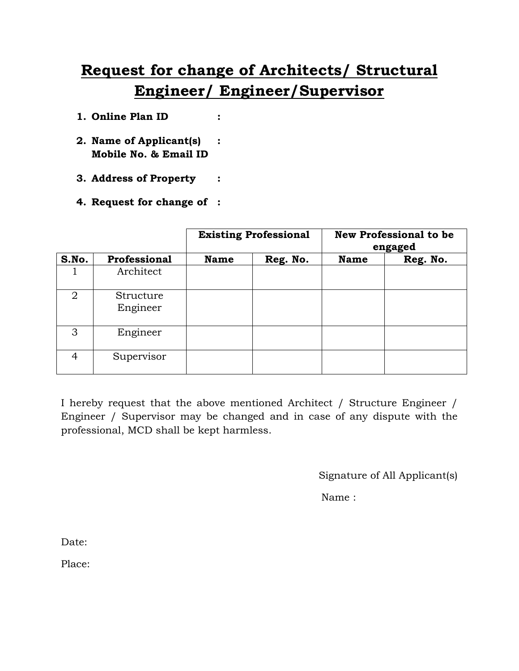## **Request for change of Architects/ Structural Engineer/ Engineer/Supervisor**

- **1. Online Plan ID :**
- **2. Name of Applicant(s) : Mobile No. & Email ID**
- **3. Address of Property :**
- **4. Request for change of :**

|                |                       | <b>Existing Professional</b> |          | <b>New Professional to be</b><br>engaged |          |
|----------------|-----------------------|------------------------------|----------|------------------------------------------|----------|
| S.No.          | Professional          | <b>Name</b>                  | Reg. No. | <b>Name</b>                              | Reg. No. |
|                | Architect             |                              |          |                                          |          |
| $\overline{2}$ | Structure<br>Engineer |                              |          |                                          |          |
| 3              | Engineer              |                              |          |                                          |          |
| 4              | Supervisor            |                              |          |                                          |          |

I hereby request that the above mentioned Architect / Structure Engineer / Engineer / Supervisor may be changed and in case of any dispute with the professional, MCD shall be kept harmless.

Signature of All Applicant(s)

Name :

Date:

Place: